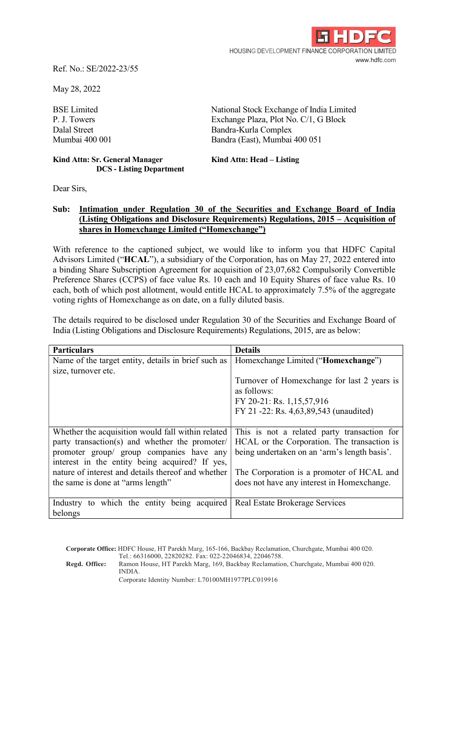

Ref. No.: SE/2022-23/55

May 28, 2022

Kind Attn: Sr. General Manager Kind Attn: Head – Listing DCS - Listing Department

BSE Limited National Stock Exchange of India Limited P. J. Towers Exchange Plaza, Plot No. C/1, G Block Dalal Street Bandra-Kurla Complex Mumbai 400 001 Bandra (East), Mumbai 400 051

Dear Sirs,

## Sub: Intimation under Regulation 30 of the Securities and Exchange Board of India (Listing Obligations and Disclosure Requirements) Regulations, 2015 – Acquisition of shares in Homexchange Limited ("Homexchange")

With reference to the captioned subject, we would like to inform you that HDFC Capital Advisors Limited ("HCAL"), a subsidiary of the Corporation, has on May 27, 2022 entered into a binding Share Subscription Agreement for acquisition of 23,07,682 Compulsorily Convertible Preference Shares (CCPS) of face value Rs. 10 each and 10 Equity Shares of face value Rs. 10 each, both of which post allotment, would entitle HCAL to approximately 7.5% of the aggregate voting rights of Homexchange as on date, on a fully diluted basis.

The details required to be disclosed under Regulation 30 of the Securities and Exchange Board of India (Listing Obligations and Disclosure Requirements) Regulations, 2015, are as below:

| <b>Particulars</b>                                                         | <b>Details</b>                               |
|----------------------------------------------------------------------------|----------------------------------------------|
| Name of the target entity, details in brief such as                        | Homexchange Limited ("Homexchange")          |
| size, turnover etc.                                                        |                                              |
|                                                                            | Turnover of Homexchange for last 2 years is  |
|                                                                            | as follows:                                  |
|                                                                            | FY 20-21: Rs. 1,15,57,916                    |
|                                                                            | FY 21 -22: Rs. 4,63,89,543 (unaudited)       |
|                                                                            |                                              |
| Whether the acquisition would fall within related                          | This is not a related party transaction for  |
| party transaction(s) and whether the promoter/                             | HCAL or the Corporation. The transaction is  |
| promoter group/ group companies have any                                   | being undertaken on an 'arm's length basis'. |
| interest in the entity being acquired? If yes,                             |                                              |
| nature of interest and details thereof and whether                         | The Corporation is a promoter of HCAL and    |
| the same is done at "arms length"                                          | does not have any interest in Homexchange.   |
|                                                                            |                                              |
| Industry to which the entity being acquired Real Estate Brokerage Services |                                              |
| belongs                                                                    |                                              |

Corporate Office: HDFC House, HT Parekh Marg, 165-166, Backbay Reclamation, Churchgate, Mumbai 400 020. Tel.: 66316000, 22820282. Fax: 022-22046834, 22046758. Regd. Office: Ramon House, HT Parekh Marg, 169, Backbay Reclamation, Churchgate, Mumbai 400 020. INDIA. Corporate Identity Number: L70100MH1977PLC019916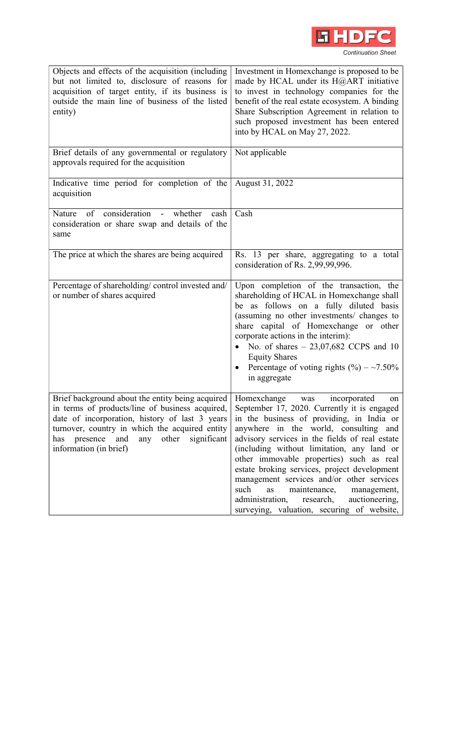

| Objects and effects of the acquisition (including<br>but not limited to, disclosure of reasons for<br>acquisition of target entity, if its business is<br>outside the main line of business of the listed<br>entity)                                                                       | Investment in Homexchange is proposed to be<br>made by HCAL under its H@ART initiative<br>to invest in technology companies for the<br>benefit of the real estate ecosystem. A binding<br>Share Subscription Agreement in relation to<br>such proposed investment has been entered<br>into by HCAL on May 27, 2022.                                                                                                                                                                                                                                                  |
|--------------------------------------------------------------------------------------------------------------------------------------------------------------------------------------------------------------------------------------------------------------------------------------------|----------------------------------------------------------------------------------------------------------------------------------------------------------------------------------------------------------------------------------------------------------------------------------------------------------------------------------------------------------------------------------------------------------------------------------------------------------------------------------------------------------------------------------------------------------------------|
| Brief details of any governmental or regulatory<br>approvals required for the acquisition                                                                                                                                                                                                  | Not applicable                                                                                                                                                                                                                                                                                                                                                                                                                                                                                                                                                       |
| Indicative time period for completion of the<br>acquisition                                                                                                                                                                                                                                | August 31, 2022                                                                                                                                                                                                                                                                                                                                                                                                                                                                                                                                                      |
| consideration -<br>of<br>Nature<br>whether<br>cash<br>consideration or share swap and details of the<br>same                                                                                                                                                                               | Cash                                                                                                                                                                                                                                                                                                                                                                                                                                                                                                                                                                 |
| The price at which the shares are being acquired                                                                                                                                                                                                                                           | Rs. 13 per share, aggregating to a total<br>consideration of Rs. 2,99,99,996.                                                                                                                                                                                                                                                                                                                                                                                                                                                                                        |
| Percentage of shareholding/control invested and/<br>or number of shares acquired                                                                                                                                                                                                           | Upon completion of the transaction, the<br>shareholding of HCAL in Homexchange shall<br>be as follows on a fully diluted basis<br>(assuming no other investments/ changes to<br>share capital of Homexchange or other<br>corporate actions in the interim):<br>No. of shares $-23,07,682$ CCPS and 10<br>$\bullet$<br><b>Equity Shares</b><br>Percentage of voting rights (%) – ~7.50%<br>in aggregate                                                                                                                                                               |
| Brief background about the entity being acquired<br>in terms of products/line of business acquired,<br>date of incorporation, history of last 3 years<br>turnover, country in which the acquired entity<br>other<br>has<br>presence<br>and<br>significant<br>any<br>information (in brief) | Homexchange was incorporated<br>on<br>September 17, 2020. Currently it is engaged<br>in the business of providing, in India or<br>anywhere in the world, consulting and<br>advisory services in the fields of real estate<br>(including without limitation, any land or<br>other immovable properties) such as real<br>estate broking services, project development<br>management services and/or other services<br>such<br>maintenance,<br><b>as</b><br>management,<br>administration,<br>auctioneering,<br>research,<br>surveying, valuation, securing of website, |